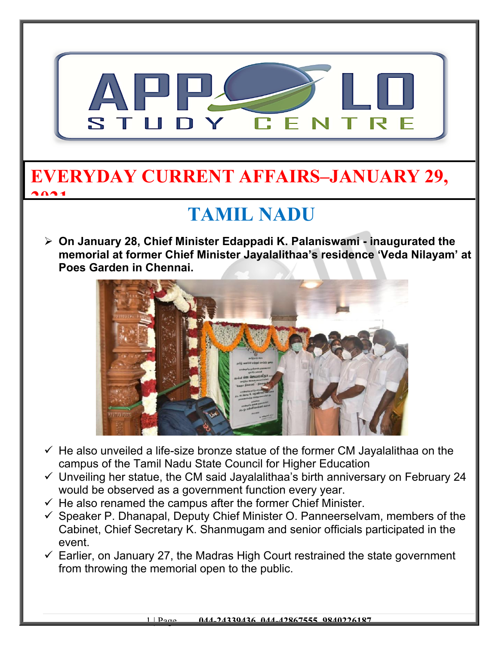

#### **EVERYDAY CURRENT AFFAIRS–JANUARY 29, 2021**

# **TAMIL NADU**

 **On January 28, Chief Minister Edappadi K. Palaniswami - inaugurated the memorial at former Chief Minister Jayalalithaa's residence 'Veda Nilayam' at Poes Garden in Chennai.** 



- $\checkmark$  He also unveiled a life-size bronze statue of the former CM Jayalalithaa on the campus of the Tamil Nadu State Council for Higher Education
- $\checkmark$  Unveiling her statue, the CM said Jayalalithaa's birth anniversary on February 24 would be observed as a government function every year.
- $\checkmark$  He also renamed the campus after the former Chief Minister.
- $\checkmark$  Speaker P. Dhanapal, Deputy Chief Minister O. Panneerselvam, members of the Cabinet, Chief Secretary K. Shanmugam and senior officials participated in the event.
- $\checkmark$  Earlier, on January 27, the Madras High Court restrained the state government from throwing the memorial open to the public.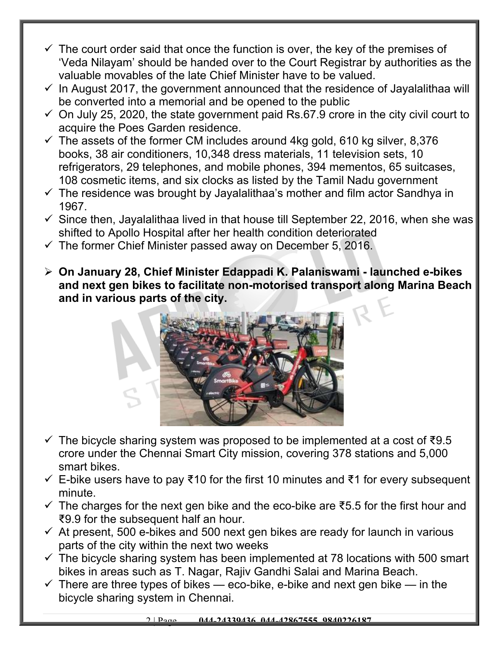- $\checkmark$  The court order said that once the function is over, the key of the premises of 'Veda Nilayam' should be handed over to the Court Registrar by authorities as the valuable movables of the late Chief Minister have to be valued.
- $\checkmark$  In August 2017, the government announced that the residence of Jayalalithaa will be converted into a memorial and be opened to the public
- $\checkmark$  On July 25, 2020, the state government paid Rs.67.9 crore in the city civil court to acquire the Poes Garden residence.
- $\checkmark$  The assets of the former CM includes around 4kg gold, 610 kg silver, 8,376 books, 38 air conditioners, 10,348 dress materials, 11 television sets, 10 refrigerators, 29 telephones, and mobile phones, 394 mementos, 65 suitcases, 108 cosmetic items, and six clocks as listed by the Tamil Nadu government
- $\checkmark$  The residence was brought by Jayalalithaa's mother and film actor Sandhya in 1967.
- $\checkmark$  Since then, Jayalalithaa lived in that house till September 22, 2016, when she was shifted to Apollo Hospital after her health condition deteriorated
- $\checkmark$  The former Chief Minister passed away on December 5, 2016.
- **On January 28, Chief Minister Edappadi K. Palaniswami launched e-bikes and next gen bikes to facilitate non-motorised transport along Marina Beach and in various parts of the city.**



- $\checkmark$  The bicycle sharing system was proposed to be implemented at a cost of  $\checkmark$ 9.5 crore under the Chennai Smart City mission, covering 378 stations and 5,000 smart bikes.
- E-bike users have to pay ₹10 for the first 10 minutes and ₹1 for every subsequent minute.
- $\checkmark$  The charges for the next gen bike and the eco-bike are ₹5.5 for the first hour and ₹9.9 for the subsequent half an hour.
- $\checkmark$  At present, 500 e-bikes and 500 next gen bikes are ready for launch in various parts of the city within the next two weeks
- $\checkmark$  The bicycle sharing system has been implemented at 78 locations with 500 smart bikes in areas such as T. Nagar, Rajiv Gandhi Salai and Marina Beach.
- $\checkmark$  There are three types of bikes eco-bike, e-bike and next gen bike in the bicycle sharing system in Chennai.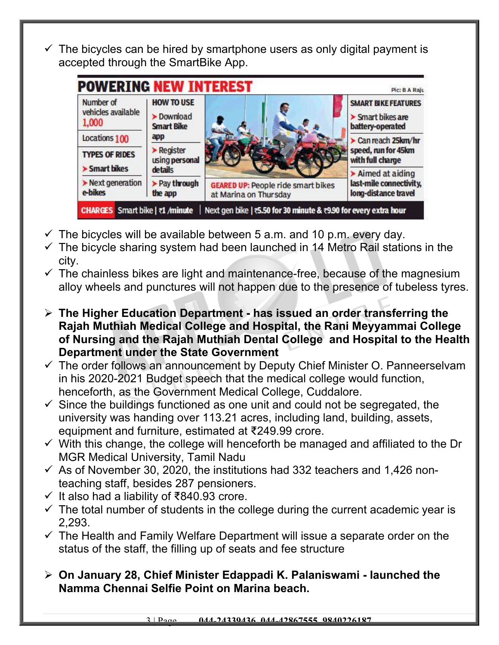$\checkmark$  The bicycles can be hired by smartphone users as only digital payment is accepted through the SmartBike App.

| Number of                              | <b>HOW TO USE</b>                                       |                                           | <b>SMART BIKE FEATURES</b>                                   |
|----------------------------------------|---------------------------------------------------------|-------------------------------------------|--------------------------------------------------------------|
| vehicles available                     | > Download                                              |                                           | Smart bikes are                                              |
| 1,000                                  | <b>Smart Bike</b>                                       |                                           | battery-operated                                             |
| Locations 100<br><b>TYPES OF RIDES</b> | app<br>$\blacktriangleright$ Register<br>using personal |                                           | Can reach 25km/hr<br>speed, run for 45km<br>with full charge |
| > Smart bikes                          | details                                                 |                                           | $\blacktriangleright$ Aimed at aiding                        |
| Next generation                        | > Pay through                                           | <b>GEARED UP: People ride smart bikes</b> | last-mile connectivity,                                      |
| e-bikes                                | the app                                                 | at Marina on Thursday                     | long-distance travel                                         |

- $\checkmark$  The bicycles will be available between 5 a.m. and 10 p.m. every day.
- $\checkmark$  The bicycle sharing system had been launched in 14 Metro Rail stations in the city.
- $\checkmark$  The chainless bikes are light and maintenance-free, because of the magnesium alloy wheels and punctures will not happen due to the presence of tubeless tyres.
- **The Higher Education Department has issued an order transferring the Rajah Muthiah Medical College and Hospital, the Rani Meyyammai College of Nursing and the Rajah Muthiah Dental College and Hospital to the Health Department under the State Government**
- $\checkmark$  The order follows an announcement by Deputy Chief Minister O. Panneerselvam in his 2020-2021 Budget speech that the medical college would function, henceforth, as the Government Medical College, Cuddalore.
- $\checkmark$  Since the buildings functioned as one unit and could not be segregated, the university was handing over 113.21 acres, including land, building, assets, equipment and furniture, estimated at ₹249.99 crore.
- $\checkmark$  With this change, the college will henceforth be managed and affiliated to the Dr MGR Medical University, Tamil Nadu
- $\checkmark$  As of November 30, 2020, the institutions had 332 teachers and 1,426 nonteaching staff, besides 287 pensioners.
- $\checkmark$  It also had a liability of ₹840.93 crore.
- $\checkmark$  The total number of students in the college during the current academic year is 2,293.
- $\checkmark$  The Health and Family Welfare Department will issue a separate order on the status of the staff, the filling up of seats and fee structure
- **On January 28, Chief Minister Edappadi K. Palaniswami launched the Namma Chennai Selfie Point on Marina beach.**

3 | Page **044-24339436, 044-42867555, 9840226187**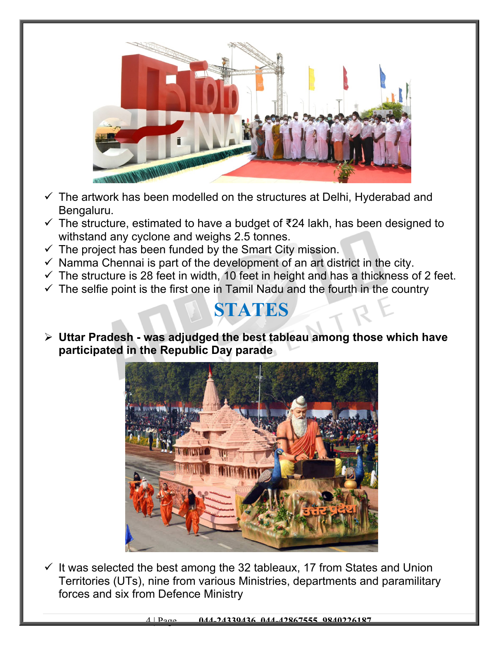

- $\checkmark$  The artwork has been modelled on the structures at Delhi, Hyderabad and Bengaluru.
- $\checkmark$  The structure, estimated to have a budget of ₹24 lakh, has been designed to withstand any cyclone and weighs 2.5 tonnes.
- $\checkmark$  The project has been funded by the Smart City mission.
- $\checkmark$  Namma Chennai is part of the development of an art district in the city.
- $\checkmark$  The structure is 28 feet in width, 10 feet in height and has a thickness of 2 feet.
- $\checkmark$  The selfie point is the first one in Tamil Nadu and the fourth in the country

#### **STATES**

 **Uttar Pradesh - was adjudged the best tableau among those which have participated in the Republic Day parade**



 $\checkmark$  It was selected the best among the 32 tableaux, 17 from States and Union Territories (UTs), nine from various Ministries, departments and paramilitary forces and six from Defence Ministry

4 | Page **044-24339436, 044-42867555, 9840226187**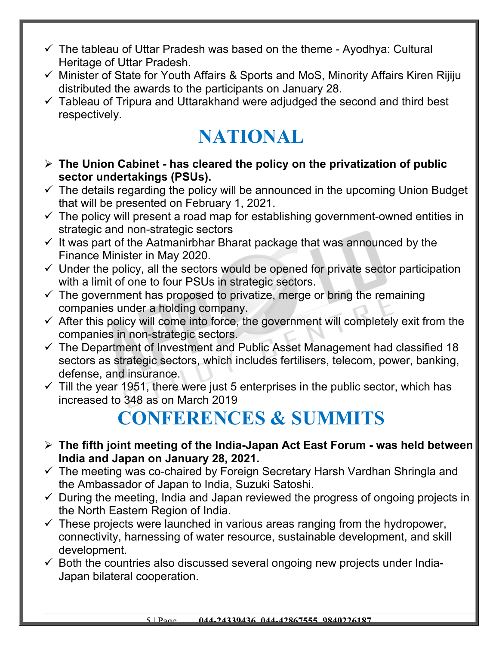- $\checkmark$  The tableau of Uttar Pradesh was based on the theme Ayodhya: Cultural Heritage of Uttar Pradesh.
- $\checkmark$  Minister of State for Youth Affairs & Sports and MoS, Minority Affairs Kiren Rijiju distributed the awards to the participants on January 28.
- $\checkmark$  Tableau of Tripura and Uttarakhand were adjudged the second and third best respectively.

# **NATIONAL**

- **The Union Cabinet has cleared the policy on the privatization of public sector undertakings (PSUs).**
- $\checkmark$  The details regarding the policy will be announced in the upcoming Union Budget that will be presented on February 1, 2021.
- $\checkmark$  The policy will present a road map for establishing government-owned entities in strategic and non-strategic sectors
- $\checkmark$  It was part of the Aatmanirbhar Bharat package that was announced by the Finance Minister in May 2020.
- $\checkmark$  Under the policy, all the sectors would be opened for private sector participation with a limit of one to four PSUs in strategic sectors.
- $\checkmark$  The government has proposed to privatize, merge or bring the remaining companies under a holding company.
- $\checkmark$  After this policy will come into force, the government will completely exit from the companies in non-strategic sectors.
- $\checkmark$  The Department of Investment and Public Asset Management had classified 18 sectors as strategic sectors, which includes fertilisers, telecom, power, banking, defense, and insurance.
- $\checkmark$  Till the year 1951, there were just 5 enterprises in the public sector, which has increased to 348 as on March 2019

### **CONFERENCES & SUMMITS**

- **The fifth joint meeting of the India-Japan Act East Forum was held between India and Japan on January 28, 2021.**
- $\checkmark$  The meeting was co-chaired by Foreign Secretary Harsh Vardhan Shringla and the Ambassador of Japan to India, Suzuki Satoshi.
- $\checkmark$  During the meeting, India and Japan reviewed the progress of ongoing projects in the North Eastern Region of India.
- $\checkmark$  These projects were launched in various areas ranging from the hydropower, connectivity, harnessing of water resource, sustainable development, and skill development.
- $\checkmark$  Both the countries also discussed several ongoing new projects under India-Japan bilateral cooperation.